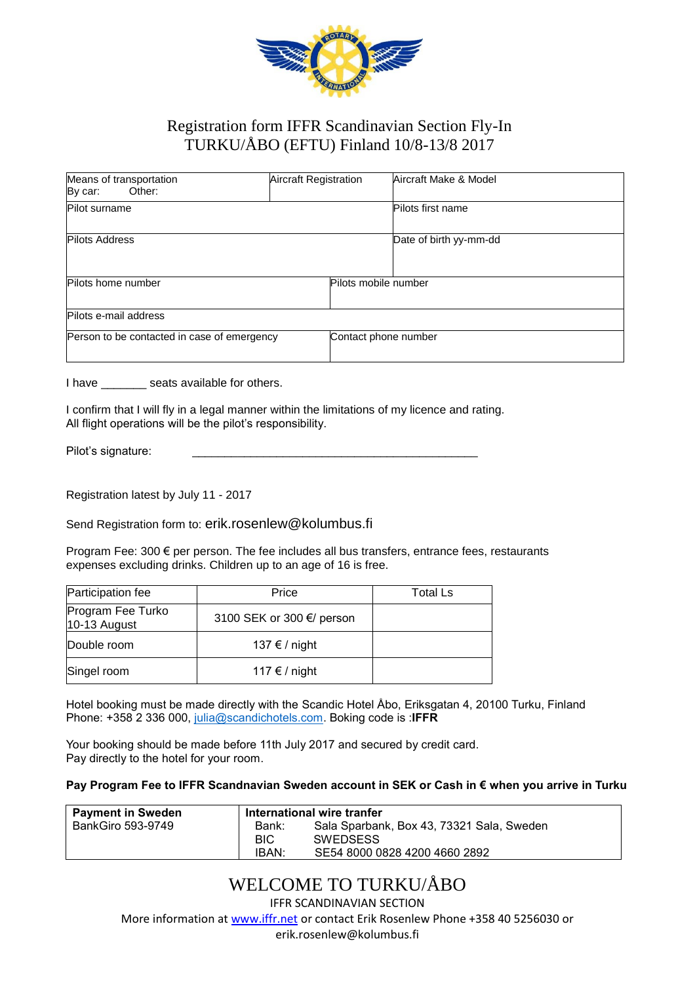

### Registration form IFFR Scandinavian Section Fly-In TURKU/ÅBO (EFTU) Finland 10/8-13/8 2017

| Means of transportation<br>By car:<br>Other: | Aircraft Registration | Aircraft Make & Model  |
|----------------------------------------------|-----------------------|------------------------|
| Pilot surname                                |                       | Pilots first name      |
| <b>Pilots Address</b>                        |                       | Date of birth yy-mm-dd |
| Pilots home number                           | Pilots mobile number  |                        |
| Pilots e-mail address                        |                       |                        |
| Person to be contacted in case of emergency  | Contact phone number  |                        |

I have seats available for others.

I confirm that I will fly in a legal manner within the limitations of my licence and rating. All flight operations will be the pilot's responsibility.

Pilot's signature:

Registration latest by July 11 - 2017

Send Registration form to: erik.rosenlew@kolumbus.fi

Program Fee: 300 € per person. The fee includes all bus transfers, entrance fees, restaurants expenses excluding drinks. Children up to an age of 16 is free.

| Participation fee                   | Price                     | <b>Total Ls</b> |
|-------------------------------------|---------------------------|-----------------|
| Program Fee Turko<br>$10-13$ August | 3100 SEK or 300 €/ person |                 |
| Double room                         | 137 € / night             |                 |
| Singel room                         | 117 € / night             |                 |

Hotel booking must be made directly with the Scandic Hotel Åbo, Eriksgatan 4, 20100 Turku, Finland Phone: +358 2 336 000, [julia@scandichotels.com.](mailto:julia@scandichotels.com) Boking code is :**IFFR**

Your booking should be made before 11th July 2017 and secured by credit card. Pay directly to the hotel for your room.

#### **Pay Program Fee to IFFR Scandnavian Sweden account in SEK or Cash in € when you arrive in Turku**

| Payment in Sweden | International wire tranfer |                                           |
|-------------------|----------------------------|-------------------------------------------|
| BankGiro 593-9749 | Bank:                      | Sala Sparbank, Box 43, 73321 Sala, Sweden |
|                   | <b>BIC</b>                 | <b>SWEDSESS</b>                           |
|                   | IBAN:                      | SE54 8000 0828 4200 4660 2892             |

## WELCOME TO TURKU/ÅBO

IFFR SCANDINAVIAN SECTION

More information at [www.iffr.net](http://www.iffr.net/) or contact Erik Rosenlew Phone +358 40 5256030 or

erik.rosenlew@kolumbus.fi